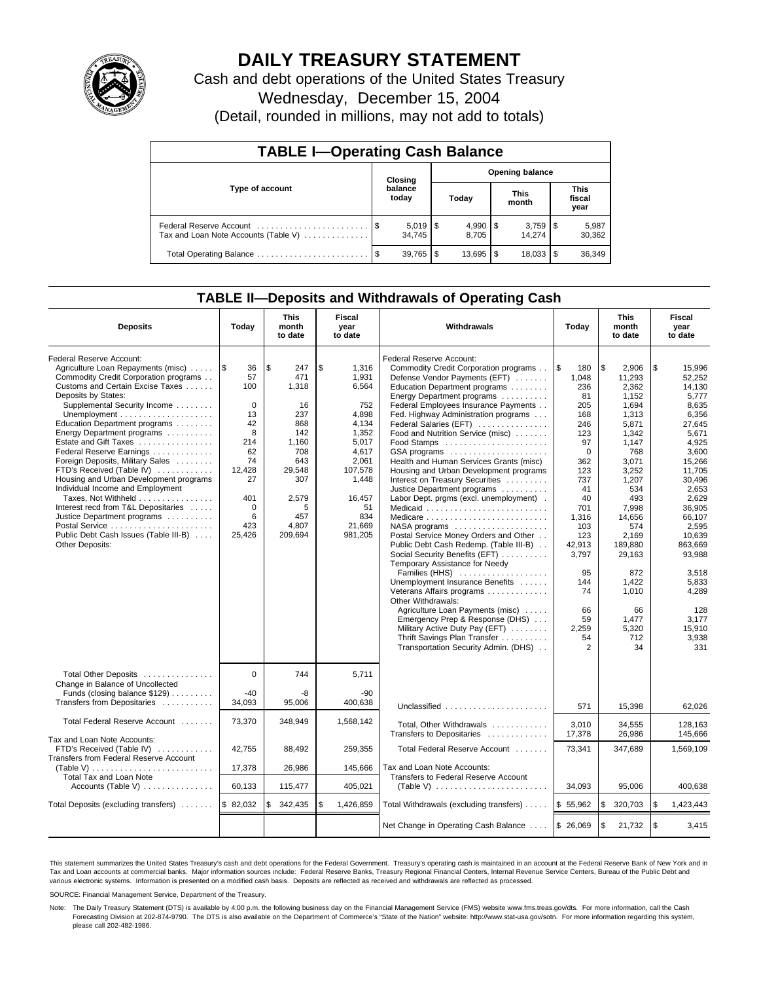

# **DAILY TREASURY STATEMENT**

Cash and debt operations of the United States Treasury Wednesday, December 15, 2004 (Detail, rounded in millions, may not add to totals)

| <b>TABLE I-Operating Cash Balance</b>                           |         |                              |                        |                       |  |                      |                               |                 |  |  |
|-----------------------------------------------------------------|---------|------------------------------|------------------------|-----------------------|--|----------------------|-------------------------------|-----------------|--|--|
|                                                                 | Closing |                              | <b>Opening balance</b> |                       |  |                      |                               |                 |  |  |
| Type of account                                                 |         | balance<br>today             |                        | Today                 |  | <b>This</b><br>month | <b>This</b><br>fiscal<br>year |                 |  |  |
| Federal Reserve Account<br>Tax and Loan Note Accounts (Table V) |         | $5,019$ $\sqrt{5}$<br>34.745 |                        | $4,990$ \ \$<br>8.705 |  | 14.274               |                               | 5,987<br>30.362 |  |  |

### **TABLE II—Deposits and Withdrawals of Operating Cash**

Total Operating Balance . . . . . . . . . . . . . . . . . . . . . . . . \$ 39,765 \$ 13,695 \$ 18,033 \$ 36,349

| <b>Deposits</b>                                                                                                                                                                                                                                                                                                                                                                                                                                                                                                                                                                                                                                                                      | Today                                                                                                                           | <b>This</b><br>month<br>to date                                                                                                         | <b>Fiscal</b><br>year<br>to date                                                                                                                           | Withdrawals                                                                                                                                                                                                                                                                                                                                                                                                                                                                                                                                                                                                                                                                                                                                                                                                                                                                                                                                                                                                                 | Today                                                                                                                                                                                                                 | <b>This</b><br>month<br>to date                                                                                                                                                                                                                            | <b>Fiscal</b><br>year<br>to date                                                                                                                                                                                                                                                  |
|--------------------------------------------------------------------------------------------------------------------------------------------------------------------------------------------------------------------------------------------------------------------------------------------------------------------------------------------------------------------------------------------------------------------------------------------------------------------------------------------------------------------------------------------------------------------------------------------------------------------------------------------------------------------------------------|---------------------------------------------------------------------------------------------------------------------------------|-----------------------------------------------------------------------------------------------------------------------------------------|------------------------------------------------------------------------------------------------------------------------------------------------------------|-----------------------------------------------------------------------------------------------------------------------------------------------------------------------------------------------------------------------------------------------------------------------------------------------------------------------------------------------------------------------------------------------------------------------------------------------------------------------------------------------------------------------------------------------------------------------------------------------------------------------------------------------------------------------------------------------------------------------------------------------------------------------------------------------------------------------------------------------------------------------------------------------------------------------------------------------------------------------------------------------------------------------------|-----------------------------------------------------------------------------------------------------------------------------------------------------------------------------------------------------------------------|------------------------------------------------------------------------------------------------------------------------------------------------------------------------------------------------------------------------------------------------------------|-----------------------------------------------------------------------------------------------------------------------------------------------------------------------------------------------------------------------------------------------------------------------------------|
| Federal Reserve Account:<br>Agriculture Loan Repayments (misc)<br>Commodity Credit Corporation programs<br>Customs and Certain Excise Taxes<br>Deposits by States:<br>Supplemental Security Income<br>Unemployment $\dots\dots\dots\dots\dots\dots\dots$<br>Education Department programs<br>Energy Department programs<br>Estate and Gift Taxes<br>Federal Reserve Earnings<br>Foreign Deposits, Military Sales<br>FTD's Received (Table IV)<br>Housing and Urban Development programs<br>Individual Income and Employment<br>Taxes, Not Withheld<br>Interest recd from T&L Depositaries<br>Justice Department programs<br>Public Debt Cash Issues (Table III-B)<br>Other Deposits: | 1\$<br>36<br>57<br>100<br>$\Omega$<br>13<br>42<br>8<br>214<br>62<br>74<br>12.428<br>27<br>401<br>$\Omega$<br>6<br>423<br>25,426 | l \$<br>247<br>471<br>1,318<br>16<br>237<br>868<br>142<br>1,160<br>708<br>643<br>29.548<br>307<br>2,579<br>5<br>457<br>4,807<br>209,694 | \$<br>1,316<br>1,931<br>6,564<br>752<br>4,898<br>4,134<br>1,352<br>5,017<br>4,617<br>2.061<br>107,578<br>1,448<br>16,457<br>51<br>834<br>21,669<br>981,205 | Federal Reserve Account:<br>Commodity Credit Corporation programs<br>Defense Vendor Payments (EFT)<br>Education Department programs<br>Energy Department programs<br>Federal Employees Insurance Payments<br>Fed. Highway Administration programs<br>Federal Salaries (EFT)<br>Food and Nutrition Service (misc)<br>GSA programs<br>Health and Human Services Grants (misc)<br>Housing and Urban Development programs<br>Interest on Treasury Securities<br>Justice Department programs<br>Labor Dept. prgms (excl. unemployment).<br>Medicaid<br>Medicare<br>NASA programs<br>Postal Service Money Orders and Other<br>Public Debt Cash Redemp. (Table III-B)<br>Social Security Benefits (EFT)<br>Temporary Assistance for Needy<br>Families (HHS)<br>Unemployment Insurance Benefits<br>Veterans Affairs programs<br>Other Withdrawals:<br>Agriculture Loan Payments (misc)<br>Emergency Prep & Response (DHS)<br>Military Active Duty Pay (EFT)<br>Thrift Savings Plan Transfer<br>Transportation Security Admin. (DHS) | \$<br>180<br>1.048<br>236<br>81<br>205<br>168<br>246<br>123<br>97<br>$\mathbf 0$<br>362<br>123<br>737<br>41<br>40<br>701<br>1,316<br>103<br>123<br>42,913<br>3,797<br>95<br>144<br>74<br>66<br>59<br>2,259<br>54<br>2 | \$<br>2,906<br>11.293<br>2.362<br>1.152<br>1,694<br>1,313<br>5,871<br>1,342<br>1,147<br>768<br>3.071<br>3,252<br>1,207<br>534<br>493<br>7,998<br>14,656<br>574<br>2,169<br>189,880<br>29,163<br>872<br>1,422<br>1,010<br>66<br>1.477<br>5.320<br>712<br>34 | \$<br>15,996<br>52.252<br>14.130<br>5,777<br>8,635<br>6,356<br>27,645<br>5,671<br>4,925<br>3.600<br>15,266<br>11,705<br>30,496<br>2.653<br>2,629<br>36,905<br>66,107<br>2.595<br>10,639<br>863.669<br>93,988<br>3,518<br>5,833<br>4,289<br>128<br>3.177<br>15.910<br>3,938<br>331 |
| Total Other Deposits<br>Change in Balance of Uncollected<br>Funds (closing balance \$129)<br>Transfers from Depositaries                                                                                                                                                                                                                                                                                                                                                                                                                                                                                                                                                             | $\Omega$<br>$-40$<br>34,093                                                                                                     | 744<br>-8<br>95.006                                                                                                                     | 5.711<br>$-90$<br>400.638                                                                                                                                  |                                                                                                                                                                                                                                                                                                                                                                                                                                                                                                                                                                                                                                                                                                                                                                                                                                                                                                                                                                                                                             |                                                                                                                                                                                                                       |                                                                                                                                                                                                                                                            |                                                                                                                                                                                                                                                                                   |
| Total Federal Reserve Account                                                                                                                                                                                                                                                                                                                                                                                                                                                                                                                                                                                                                                                        | 73,370                                                                                                                          | 348,949                                                                                                                                 | 1,568,142                                                                                                                                                  | Unclassified<br>Total, Other Withdrawals                                                                                                                                                                                                                                                                                                                                                                                                                                                                                                                                                                                                                                                                                                                                                                                                                                                                                                                                                                                    | 571<br>3.010                                                                                                                                                                                                          | 15,398<br>34.555                                                                                                                                                                                                                                           | 62,026<br>128.163                                                                                                                                                                                                                                                                 |
| Tax and Loan Note Accounts:<br>FTD's Received (Table IV)<br><b>Transfers from Federal Reserve Account</b><br>(Table V)                                                                                                                                                                                                                                                                                                                                                                                                                                                                                                                                                               | 42.755<br>17,378                                                                                                                | 88,492<br>26,986                                                                                                                        | 259.355<br>145,666                                                                                                                                         | Transfers to Depositaries<br>Total Federal Reserve Account<br>Tax and Loan Note Accounts:                                                                                                                                                                                                                                                                                                                                                                                                                                                                                                                                                                                                                                                                                                                                                                                                                                                                                                                                   | 17,378<br>73.341                                                                                                                                                                                                      | 26,986<br>347.689                                                                                                                                                                                                                                          | 145.666<br>1,569,109                                                                                                                                                                                                                                                              |
| Total Tax and Loan Note<br>Accounts (Table V) $\dots \dots \dots \dots$                                                                                                                                                                                                                                                                                                                                                                                                                                                                                                                                                                                                              | 60,133                                                                                                                          | 115,477                                                                                                                                 | 405,021                                                                                                                                                    | Transfers to Federal Reserve Account                                                                                                                                                                                                                                                                                                                                                                                                                                                                                                                                                                                                                                                                                                                                                                                                                                                                                                                                                                                        | 34,093                                                                                                                                                                                                                | 95,006                                                                                                                                                                                                                                                     | 400,638                                                                                                                                                                                                                                                                           |
| Total Deposits (excluding transfers)                                                                                                                                                                                                                                                                                                                                                                                                                                                                                                                                                                                                                                                 | \$82,032                                                                                                                        | \$<br>342,435                                                                                                                           | \$<br>1,426,859                                                                                                                                            | Total Withdrawals (excluding transfers)                                                                                                                                                                                                                                                                                                                                                                                                                                                                                                                                                                                                                                                                                                                                                                                                                                                                                                                                                                                     | \$55,962                                                                                                                                                                                                              | \$<br>320,703                                                                                                                                                                                                                                              | ۱\$<br>1,423,443                                                                                                                                                                                                                                                                  |
|                                                                                                                                                                                                                                                                                                                                                                                                                                                                                                                                                                                                                                                                                      |                                                                                                                                 |                                                                                                                                         |                                                                                                                                                            | Net Change in Operating Cash Balance                                                                                                                                                                                                                                                                                                                                                                                                                                                                                                                                                                                                                                                                                                                                                                                                                                                                                                                                                                                        | \$26,069                                                                                                                                                                                                              | \$<br>21,732                                                                                                                                                                                                                                               | $\sqrt{3}$<br>3,415                                                                                                                                                                                                                                                               |

This statement summarizes the United States Treasury's cash and debt operations for the Federal Government. Treasury's operating cash is maintained in an account at the Federal Reserve Bank of New York and in Tax and Loan accounts at commercial banks. Major information sources include: Federal Reserve Banks, Treasury Regional Financial Centers, Internal Revenue Service Centers, Bureau of the Public Debt and<br>various electronic s

SOURCE: Financial Management Service, Department of the Treasury.

Note: The Daily Treasury Statement (DTS) is available by 4:00 p.m. the following business day on the Financial Management Service (FMS) website www.fms.treas.gov/dts. For more information, call the Cash Forecasting Division at 202-874-9790. The DTS is also available on the Department of Commerce's "State of the Nation" website: http://www.stat-usa.gov/sotn. For more information regarding this system, please call 202-482-1986.